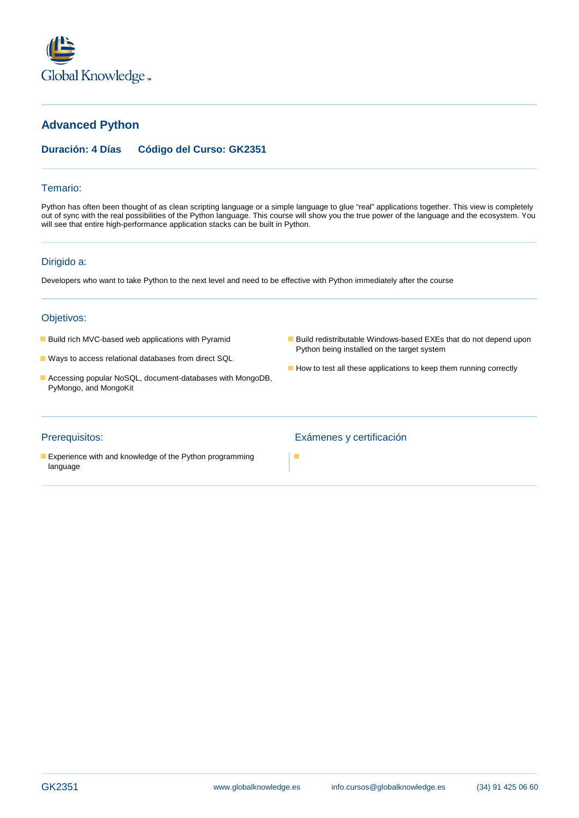

# **Advanced Python**

## **Duración: 4 Días Código del Curso: GK2351**

#### Temario:

Python has often been thought of as clean scripting language or a simple language to glue "real" applications together. This view is completely out of sync with the real possibilities of the Python language. This course will show you the true power of the language and the ecosystem. You will see that entire high-performance application stacks can be built in Python.

٠

### Dirigido a:

Developers who want to take Python to the next level and need to be effective with Python immediately after the course

#### Objetivos:

- 
- **Ways to access relational databases from direct SQL**
- Accessing popular NoSQL, document-databases with MongoDB, PyMongo, and MongoKit
- **Build rich MVC-based web applications with Pyramid Build redistributable Windows-based EXEs that do not depend upon** Python being installed on the target system
	- How to test all these applications to keep them running correctly

**Experience with and knowledge of the Python programming** language

#### Prerequisitos: Exámenes y certificación